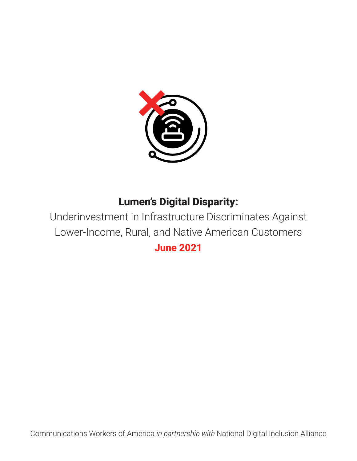

# Lumen's Digital Disparity:

Underinvestment in Infrastructure Discriminates Against Lower-Income, Rural, and Native American Customers June 2021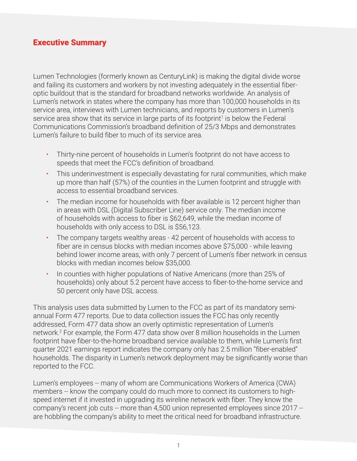### <span id="page-1-0"></span>Executive Summary

Lumen Technologies (formerly known as CenturyLink) is making the digital divide worse and failing its customers and workers by not investing adequately in the essential fiberoptic buildout that is the standard for broadband networks worldwide. An analysis of Lumen's network in states where the company has more than 100,000 households in its service area, interviews with Lumen technicians, and reports by customers in Lumen's service area show that its service in large parts of its footprint<sup>1</sup> is below the Federal Communications Commission's broadband definition of 25/3 Mbps and demonstrates Lumen's failure to build fiber to much of its service area.

- Thirty-nine percent of households in Lumen's footprint do not have access to speeds that meet the FCC's definition of broadband.
- This underinvestment is especially devastating for rural communities, which make up more than half (57%) of the counties in the Lumen footprint and struggle with access to essential broadband services.
- The median income for households with fiber available is 12 percent higher than in areas with DSL (Digital Subscriber Line) service only. The median income of households with access to fiber is \$62,649, while the median income of households with only access to DSL is \$56,123.
- The company targets wealthy areas 42 percent of households with access to fiber are in census blocks with median incomes above \$75,000 - while leaving behind lower income areas, with only 7 percent of Lumen's fiber network in census blocks with median incomes below \$35,000.
- In counties with higher populations of Native Americans (more than 25% of households) only about 5.2 percent have access to fiber-to-the-home service and 50 percent only have DSL access.

This analysis uses data submitted by Lumen to the FCC as part of its mandatory semiannual Form 477 reports. Due to data collection issues the FCC has only recently addressed, Form 477 data show an overly optimistic representation of Lumen's network.[2](#page-10-0) For example, the Form 477 data show over 8 million households in the Lumen footprint have fiber-to-the-home broadband service available to them, while Lumen's first quarter 2021 earnings report indicates the company only has 2.5 million "fiber-enabled" households. The disparity in Lumen's network deployment may be significantly worse than reported to the FCC.

Lumen's employees -- many of whom are Communications Workers of America (CWA) members -- know the company could do much more to connect its customers to highspeed internet if it invested in upgrading its wireline network with fiber. They know the company's recent job cuts -- more than 4,500 union represented employees since 2017 - are hobbling the company's ability to meet the critical need for broadband infrastructure.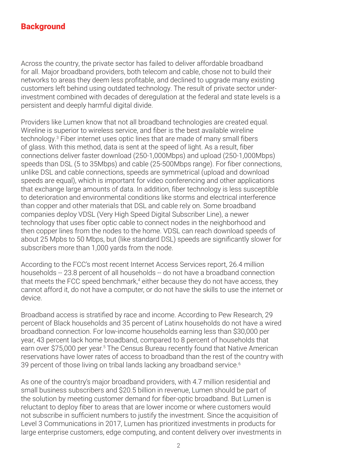### <span id="page-2-0"></span>**Background**

Across the country, the private sector has failed to deliver affordable broadband for all. Major broadband providers, both telecom and cable, chose not to build their networks to areas they deem less profitable, and declined to upgrade many existing customers left behind using outdated technology. The result of private sector underinvestment combined with decades of deregulation at the federal and state levels is a persistent and deeply harmful digital divide.

Providers like Lumen know that not all broadband technologies are created equal. Wireline is superior to wireless service, and fiber is the best available wireline technology.[3](#page-10-0) Fiber internet uses optic lines that are made of many small fibers of glass. With this method, data is sent at the speed of light. As a result, fiber connections deliver faster download (250-1,000Mbps) and upload (250-1,000Mbps) speeds than DSL (5 to 35Mbps) and cable (25-500Mbps range). For fiber connections, unlike DSL and cable connections, speeds are symmetrical (upload and download speeds are equal), which is important for video conferencing and other applications that exchange large amounts of data. In addition, fiber technology is less susceptible to deterioration and environmental conditions like storms and electrical interference than copper and other materials that DSL and cable rely on. Some broadband companies deploy VDSL (Very High Speed Digital Subscriber Line), a newer technology that uses fiber optic cable to connect nodes in the neighborhood and then copper lines from the nodes to the home. VDSL can reach download speeds of about 25 Mpbs to 50 Mbps, but (like standard DSL) speeds are significantly slower for subscribers more than 1,000 yards from the node.

According to the FCC's most recent Internet Access Services report, 26.4 million households -- 23.8 percent of all households -- do not have a broadband connection that meets the FCC speed benchmark,<sup>[4](#page-10-0)</sup> either because they do not have access, they cannot afford it, do not have a computer, or do not have the skills to use the internet or device.

Broadband access is stratified by race and income. According to Pew Research, 29 percent of Black households and 35 percent of Latinx households do not have a wired broadband connection. For low-income households earning less than \$30,000 per year, 43 percent lack home broadband, compared to 8 percent of households that earn over \$75,000 per year.<sup>5</sup> The Census Bureau recently found that Native American reservations have lower rates of access to broadband than the rest of the country with 39 percent of those living on tribal lands lacking any broadband service.<sup>6</sup>

As one of the country's major broadband providers, with 4.7 million residential and small business subscribers and \$20.5 billion in revenue, Lumen should be part of the solution by meeting customer demand for fiber-optic broadband. But Lumen is reluctant to deploy fiber to areas that are lower income or where customers would not subscribe in sufficient numbers to justify the investment. Since the acquisition of Level 3 Communications in 2017, Lumen has prioritized investments in products for large enterprise customers, edge computing, and content delivery over investments in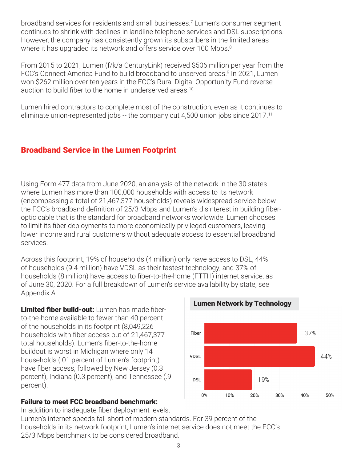<span id="page-3-0"></span>broadband services for residents and small businesses.[7](#page-10-0) Lumen's consumer segment continues to shrink with declines in landline telephone services and DSL subscriptions. However, the company has consistently grown its subscribers in the limited areas where it has upgraded its network and offers service over 100 Mbps.<sup>[8](#page-10-0)</sup>

From 2015 to 2021, Lumen (f/k/a CenturyLink) received \$506 million per year from the FCC's Connect America Fund to build broadband to unserved areas.<sup>[9](#page-10-0)</sup> In 2021, Lumen won \$262 million over ten years in the FCC's Rural Digital Opportunity Fund reverse auction to build fiber to the home in underserved areas.<sup>[10](#page-10-0)</sup>

Lumen hired contractors to complete most of the construction, even as it continues to eliminate union-represented jobs -- the company cut 4,500 union jobs since 2017.[11](#page-10-0)

### Broadband Service in the Lumen Footprint

Using Form 477 data from June 2020, an analysis of the network in the 30 states where Lumen has more than 100,000 households with access to its network (encompassing a total of 21,467,377 households) reveals widespread service below the FCC's broadband definition of 25/3 Mbps and Lumen's disinterest in building fiberoptic cable that is the standard for broadband networks worldwide. Lumen chooses to limit its fiber deployments to more economically privileged customers, leaving lower income and rural customers without adequate access to essential broadband services.

Across this footprint, 19% of households (4 million) only have access to DSL, 44% of households (9.4 million) have VDSL as their fastest technology, and 37% of households (8 million) have access to fiber-to-the-home (FTTH) internet service, as of June 30, 2020. For a full breakdown of Lumen's service availability by state, see Appendix A.

Limited fiber build-out: Lumen has made fiberto-the-home available to fewer than 40 percent of the households in its footprint (8,049,226 households with fiber access out of 21,467,377 total households). Lumen's fiber-to-the-home buildout is worst in Michigan where only 14 households (.01 percent of Lumen's footprint) have fiber access, followed by New Jersey (0.3 percent), Indiana (0.3 percent), and Tennessee (.9 percent).

#### Failure to meet FCC broadband benchmark:

In addition to inadequate fiber deployment levels, Lumen's internet speeds fall short of modern standards. For 39 percent of the households in its network footprint, Lumen's internet service does not meet the FCC's 25/3 Mbps benchmark to be considered broadband.

Lumen Network by Technology

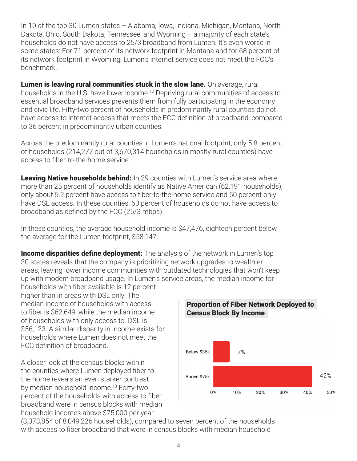<span id="page-4-0"></span>In 10 of the top 30 Lumen states – Alabama, Iowa, Indiana, Michigan, Montana, North Dakota, Ohio, South Dakota, Tennessee, and Wyoming – a majority of each state's households do not have access to 25/3 broadband from Lumen. It's even worse in some states: For 71 percent of its network footprint in Montana and for 68 percent of its network footprint in Wyoming, Lumen's internet service does not meet the FCC's benchmark.

**Lumen is leaving rural communities stuck in the slow lane.** On average, rural households in the U.S. have lower income.<sup>[12](#page-10-0)</sup> Depriving rural communities of access to essential broadband services prevents them from fully participating in the economy and civic life. Fifty-two percent of households in predominantly rural counties do not have access to internet access that meets the FCC definition of broadband, compared to 36 percent in predominantly urban counties.

Across the predominantly rural counties in Lumen's national footprint, only 5.8 percent of households (214,277 out of 3,670,314 households in mostly rural counties) have access to fiber-to-the-home service.

Leaving Native households behind: In 29 counties with Lumen's service area where more than 25 percent of households identify as Native American (62,191 households), only about 5.2 percent have access to fiber-to-the-home service and 50 percent only have DSL access. In these counties, 60 percent of households do not have access to broadband as defined by the FCC (25/3 mbps).

In these counties, the average household income is \$47,476, eighteen percent below the average for the Lumen footprint, \$58,147.

**Income disparities define deployment:** The analysis of the network in Lumen's top 30 states reveals that the company is prioritizing network upgrades to wealthier areas, leaving lower income communities with outdated technologies that won't keep up with modern broadband usage. In Lumen's service areas, the median income for

households with fiber available is 12 percent higher than in areas with DSL only. The median income of households with access to fiber is \$62,649, while the median income of households with only access to DSL is \$56,123. A similar disparity in income exists for households where Lumen does not meet the FCC definition of broadband.

A closer look at the census blocks within the counties where Lumen deployed fiber to the home reveals an even starker contrast by median household income.<sup>[13](#page-10-0)</sup> Forty-two percent of the households with access to fiber broadband were in census blocks with median household incomes above \$75,000 per year



## Proportion of Fiber Network Deployed to Census Block By Income

(3,373,854 of 8,049,226 households), compared to seven percent of the households with access to fiber broadband that were in census blocks with median household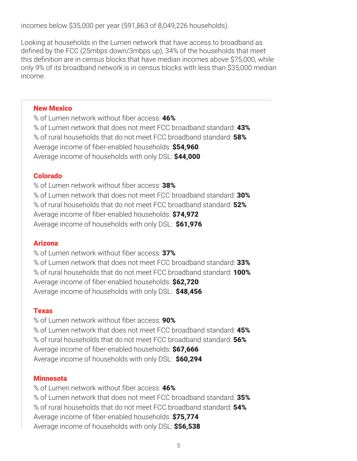incomes below \$35,000 per year (591,863 of 8,049,226 households).

Looking at households in the Lumen network that have access to broadband as defined by the FCC (25mbps down/3mbps up), 34% of the households that meet this definition are in census blocks that have median incomes above \$75,000, while only 9% of its broadband network is in census blocks with less than \$35,000 median income.

#### New Mexico

% of Lumen network without fiber access: 46% % of Lumen network that does not meet FCC broadband standard: 43% % of rural households that do not meet FCC broadband standard: **58%** Average income of fiber-enabled households: \$54,960 Average income of households with only DSL: \$44,000

#### Colorado

% of Lumen network without fiber access: 38% % of Lumen network that does not meet FCC broadband standard: 30% % of rural households that do not meet FCC broadband standard: 52% Average income of fiber-enabled households: \$74,972 Average income of households with only DSL: \$61,976

#### Arizona

% of Lumen network without fiber access: 37% % of Lumen network that does not meet FCC broadband standard: 33% % of rural households that do not meet FCC broadband standard: **100%** Average income of fiber-enabled households: \$62,720 Average income of households with only DSL: \$48,456

#### Texas

% of Lumen network without fiber access: 90% % of Lumen network that does not meet FCC broadband standard: 45% % of rural households that do not meet FCC broadband standard: 56% Average income of fiber-enabled households: \$67,666 Average income of households with only DSL: \$60,294

#### **Minnesota**

% of Lumen network without fiber access: 46% % of Lumen network that does not meet FCC broadband standard: 35% % of rural households that do not meet FCC broadband standard: 54% Average income of fiber-enabled households: \$75,774 Average income of households with only DSL: \$56,538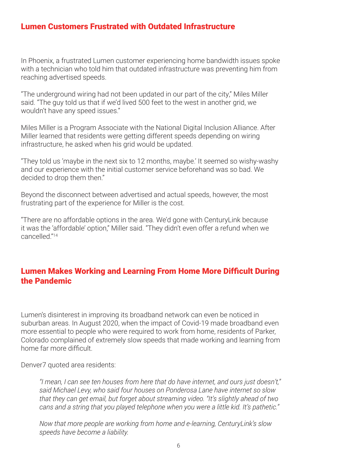### <span id="page-6-0"></span>Lumen Customers Frustrated with Outdated Infrastructure

In Phoenix, a frustrated Lumen customer experiencing home bandwidth issues spoke with a technician who told him that outdated infrastructure was preventing him from reaching advertised speeds.

"The underground wiring had not been updated in our part of the city," Miles Miller said. "The guy told us that if we'd lived 500 feet to the west in another grid, we wouldn't have any speed issues."

Miles Miller is a Program Associate with the National Digital Inclusion Alliance. After Miller learned that residents were getting different speeds depending on wiring infrastructure, he asked when his grid would be updated.

"They told us 'maybe in the next six to 12 months, maybe.' It seemed so wishy-washy and our experience with the initial customer service beforehand was so bad. We decided to drop them then."

Beyond the disconnect between advertised and actual speeds, however, the most frustrating part of the experience for Miller is the cost.

"There are no affordable options in the area. We'd gone with CenturyLink because it was the 'affordable' option," Miller said. "They didn't even offer a refund when we cancelled.["14](#page-10-0)

### Lumen Makes Working and Learning From Home More Difficult During the Pandemic

Lumen's disinterest in improving its broadband network can even be noticed in suburban areas. In August 2020, when the impact of Covid-19 made broadband even more essential to people who were required to work from home, residents of Parker, Colorado complained of extremely slow speeds that made working and learning from home far more difficult.

Denver7 quoted area residents:

*"I mean, I can see ten houses from here that do have internet, and ours just doesn't," said Michael Levy, who said four houses on Ponderosa Lane have internet so slow that they can get email, but forget about streaming video. "It's slightly ahead of two cans and a string that you played telephone when you were a little kid. It's pathetic."*

*Now that more people are working from home and e-learning, CenturyLink's slow speeds have become a liability.*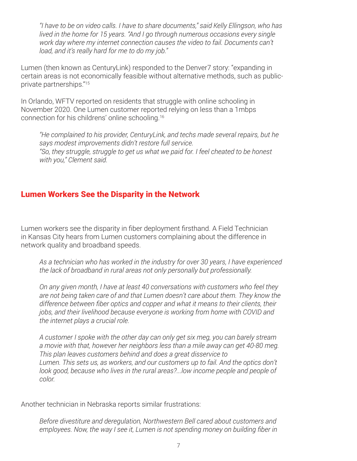<span id="page-7-0"></span>*"I have to be on video calls. I have to share documents," said Kelly Ellingson, who has lived in the home for 15 years. "And I go through numerous occasions every single work day where my internet connection causes the video to fail. Documents can't load, and it's really hard for me to do my job."*

Lumen (then known as CenturyLink) responded to the Denver7 story: "expanding in certain areas is not economically feasible without alternative methods, such as publicprivate partnerships.["15](#page-10-0)

In Orlando, WFTV reported on residents that struggle with online schooling in November 2020. One Lumen customer reported relying on less than a 1mbps connection for his childrens' online schooling.[16](#page-11-0)

*"He complained to his provider, CenturyLink, and techs made several repairs, but he says modest improvements didn't restore full service. "So, they struggle, struggle to get us what we paid for. I feel cheated to be honest with you," Clement said.*

### Lumen Workers See the Disparity in the Network

Lumen workers see the disparity in fiber deployment firsthand. A Field Technician in Kansas City hears from Lumen customers complaining about the difference in network quality and broadband speeds.

*As a technician who has worked in the industry for over 30 years, I have experienced the lack of broadband in rural areas not only personally but professionally.* 

*On any given month, I have at least 40 conversations with customers who feel they are not being taken care of and that Lumen doesn't care about them. They know the difference between fiber optics and copper and what it means to their clients, their jobs, and their livelihood because everyone is working from home with COVID and the internet plays a crucial role.* 

*A customer I spoke with the other day can only get six meg, you can barely stream a movie with that, however her neighbors less than a mile away can get 40-80 meg. This plan leaves customers behind and does a great disservice to Lumen. This sets us, as workers, and our customers up to fail. And the optics don't look good, because who lives in the rural areas?...low income people and people of color.*

Another technician in Nebraska reports similar frustrations:

*Before divestiture and deregulation, Northwestern Bell cared about customers and employees. Now, the way I see it, Lumen is not spending money on building fiber in*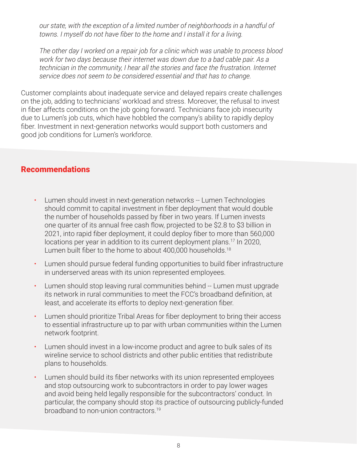<span id="page-8-0"></span>*our state, with the exception of a limited number of neighborhoods in a handful of towns. I myself do not have fiber to the home and I install it for a living.* 

*The other day I worked on a repair job for a clinic which was unable to process blood work for two days because their internet was down due to a bad cable pair. As a technician in the community, I hear all the stories and face the frustration. Internet service does not seem to be considered essential and that has to change.*

Customer complaints about inadequate service and delayed repairs create challenges on the job, adding to technicians' workload and stress. Moreover, the refusal to invest in fiber affects conditions on the job going forward. Technicians face job insecurity due to Lumen's job cuts, which have hobbled the company's ability to rapidly deploy fiber. Investment in next-generation networks would support both customers and good job conditions for Lumen's workforce.

### Recommendations

- Lumen should invest in next-generation networks -- Lumen Technologies should commit to capital investment in fiber deployment that would double the number of households passed by fiber in two years. If Lumen invests one quarter of its annual free cash flow, projected to be \$2.8 to \$3 billion in 2021, into rapid fiber deployment, it could deploy fiber to more than 560,000 locations per year in addition to its current deployment plans.<sup>[17](#page-11-0)</sup> In 2020, Lumen built fiber to the home to about 400,000 households.<sup>[18](#page-11-0)</sup>
- Lumen should pursue federal funding opportunities to build fiber infrastructure in underserved areas with its union represented employees.
- Lumen should stop leaving rural communities behind -- Lumen must upgrade its network in rural communities to meet the FCC's broadband definition, at least, and accelerate its efforts to deploy next-generation fiber.
- Lumen should prioritize Tribal Areas for fiber deployment to bring their access to essential infrastructure up to par with urban communities within the Lumen network footprint.
- Lumen should invest in a low-income product and agree to bulk sales of its wireline service to school districts and other public entities that redistribute plans to households.
- Lumen should build its fiber networks with its union represented employees and stop outsourcing work to subcontractors in order to pay lower wages and avoid being held legally responsible for the subcontractors' conduct. In particular, the company should stop its practice of outsourcing publicly-funded broadband to non-union contractors.<sup>[19](#page-11-0)</sup>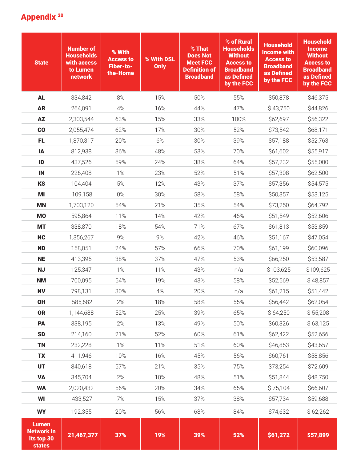# <span id="page-9-0"></span>Appendix<sup>20</sup>

| <b>State</b>                                                     | <b>Number of</b><br><b>Households</b><br>with access<br>to Lumen<br>network | % With<br><b>Access to</b><br>Fiber-to-<br>the-Home | % With DSL<br>Only | % That<br><b>Does Not</b><br><b>Meet FCC</b><br><b>Definition of</b><br><b>Broadband</b> | % of Rural<br><b>Households</b><br><b>Without</b><br><b>Access to</b><br><b>Broadband</b><br>as Defined<br>by the FCC | <b>Household</b><br><b>Income with</b><br><b>Access to</b><br><b>Broadband</b><br>as Defined<br>by the FCC | <b>Household</b><br><b>Income</b><br><b>Without</b><br><b>Access to</b><br><b>Broadband</b><br>as Defined<br>by the FCC |
|------------------------------------------------------------------|-----------------------------------------------------------------------------|-----------------------------------------------------|--------------------|------------------------------------------------------------------------------------------|-----------------------------------------------------------------------------------------------------------------------|------------------------------------------------------------------------------------------------------------|-------------------------------------------------------------------------------------------------------------------------|
| <b>AL</b>                                                        | 334,842                                                                     | 8%                                                  | 15%                | 50%                                                                                      | 55%                                                                                                                   | \$50,878                                                                                                   | \$46,375                                                                                                                |
| <b>AR</b>                                                        | 264,091                                                                     | 4%                                                  | 16%                | 44%                                                                                      | 47%                                                                                                                   | \$43,750                                                                                                   | \$44,826                                                                                                                |
| <b>AZ</b>                                                        | 2,303,544                                                                   | 63%                                                 | 15%                | 33%                                                                                      | 100%                                                                                                                  | \$62,697                                                                                                   | \$56,322                                                                                                                |
| co                                                               | 2,055,474                                                                   | 62%                                                 | 17%                | 30%                                                                                      | 52%                                                                                                                   | \$73,542                                                                                                   | \$68,171                                                                                                                |
| <b>FL</b>                                                        | 1,870,317                                                                   | 20%                                                 | 6%                 | 30%                                                                                      | 39%                                                                                                                   | \$57,188                                                                                                   | \$52,763                                                                                                                |
| IA                                                               | 812,938                                                                     | 36%                                                 | 48%                | 53%                                                                                      | 70%                                                                                                                   | \$61,602                                                                                                   | \$55,917                                                                                                                |
| ID                                                               | 437,526                                                                     | 59%                                                 | 24%                | 38%                                                                                      | 64%                                                                                                                   | \$57,232                                                                                                   | \$55,000                                                                                                                |
| IN                                                               | 226,408                                                                     | 1%                                                  | 23%                | 52%                                                                                      | 51%                                                                                                                   | \$57,308                                                                                                   | \$62,500                                                                                                                |
| <b>KS</b>                                                        | 104,404                                                                     | 5%                                                  | 12%                | 43%                                                                                      | 37%                                                                                                                   | \$57,356                                                                                                   | \$54,575                                                                                                                |
| MI                                                               | 109,158                                                                     | 0%                                                  | 30%                | 58%                                                                                      | 58%                                                                                                                   | \$50,357                                                                                                   | \$53,125                                                                                                                |
| <b>MN</b>                                                        | 1,703,120                                                                   | 54%                                                 | 21%                | 35%                                                                                      | 54%                                                                                                                   | \$73,250                                                                                                   | \$64,792                                                                                                                |
| <b>MO</b>                                                        | 595,864                                                                     | 11%                                                 | 14%                | 42%                                                                                      | 46%                                                                                                                   | \$51,549                                                                                                   | \$52,606                                                                                                                |
| <b>MT</b>                                                        | 338,870                                                                     | 18%                                                 | 54%                | 71%                                                                                      | 67%                                                                                                                   | \$61,813                                                                                                   | \$53,859                                                                                                                |
| <b>NC</b>                                                        | 1,356,267                                                                   | 9%                                                  | 9%                 | 42%                                                                                      | 46%                                                                                                                   | \$51,167                                                                                                   | \$47,054                                                                                                                |
| <b>ND</b>                                                        | 158,051                                                                     | 24%                                                 | 57%                | 66%                                                                                      | 70%                                                                                                                   | \$61,199                                                                                                   | \$60,096                                                                                                                |
| <b>NE</b>                                                        | 413,395                                                                     | 38%                                                 | 37%                | 47%                                                                                      | 53%                                                                                                                   | \$66,250                                                                                                   | \$53,587                                                                                                                |
| <b>NJ</b>                                                        | 125,347                                                                     | 1%                                                  | 11%                | 43%                                                                                      | n/a                                                                                                                   | \$103,625                                                                                                  | \$109,625                                                                                                               |
| <b>NM</b>                                                        | 700,095                                                                     | 54%                                                 | 19%                | 43%                                                                                      | 58%                                                                                                                   | \$52,569                                                                                                   | \$48,857                                                                                                                |
| <b>NV</b>                                                        | 798,131                                                                     | 30%                                                 | $4\%$              | 20%                                                                                      | n/a                                                                                                                   | \$61,215                                                                                                   | \$51,442                                                                                                                |
| OH                                                               | 585,682                                                                     | 2%                                                  | 18%                | 58%                                                                                      | 55%                                                                                                                   | \$56,442                                                                                                   | \$62,054                                                                                                                |
| <b>OR</b>                                                        | 1,144,688                                                                   | 52%                                                 | 25%                | 39%                                                                                      | 65%                                                                                                                   | \$64,250                                                                                                   | \$55,208                                                                                                                |
| PA                                                               | 338,195                                                                     | 2%                                                  | 13%                | 49%                                                                                      | 50%                                                                                                                   | \$60,326                                                                                                   | \$63,125                                                                                                                |
| <b>SD</b>                                                        | 214,160                                                                     | 21%                                                 | 52%                | 60%                                                                                      | 61%                                                                                                                   | \$62,422                                                                                                   | \$52,656                                                                                                                |
| <b>TN</b>                                                        | 232,228                                                                     | 1%                                                  | 11%                | 51%                                                                                      | 60%                                                                                                                   | \$46,853                                                                                                   | \$43,657                                                                                                                |
| <b>TX</b>                                                        | 411,946                                                                     | 10%                                                 | 16%                | 45%                                                                                      | 56%                                                                                                                   | \$60,761                                                                                                   | \$58,856                                                                                                                |
| <b>UT</b>                                                        | 840,618                                                                     | 57%                                                 | 21%                | 35%                                                                                      | 75%                                                                                                                   | \$73,254                                                                                                   | \$72,609                                                                                                                |
| <b>VA</b>                                                        | 345,704                                                                     | 2%                                                  | 10%                | 48%                                                                                      | 51%                                                                                                                   | \$51,844                                                                                                   | \$48,750                                                                                                                |
| <b>WA</b>                                                        | 2,020,432                                                                   | 56%                                                 | 20%                | 34%                                                                                      | 65%                                                                                                                   | \$75,104                                                                                                   | \$66,607                                                                                                                |
| WI                                                               | 433,527                                                                     | 7%                                                  | 15%                | 37%                                                                                      | 38%                                                                                                                   | \$57,734                                                                                                   | \$59,688                                                                                                                |
| <b>WY</b>                                                        | 192,355                                                                     | 20%                                                 | 56%                | 68%                                                                                      | 84%                                                                                                                   | \$74,632                                                                                                   | \$62,262                                                                                                                |
| <b>Lumen</b><br><b>Network in</b><br>its top 30<br><b>states</b> | 21,467,377                                                                  | 37%                                                 | 19%                | 39%                                                                                      | 52%                                                                                                                   | \$61,272                                                                                                   | \$57,899                                                                                                                |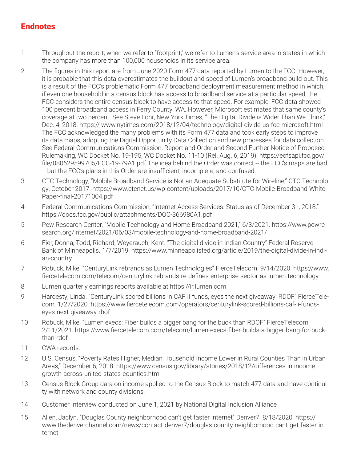### <span id="page-10-0"></span>Endnotes

- [1](#page-1-0) Throughout the report, when we refer to "footprint," we refer to Lumen's service area in states in which the company has more than 100,000 households in its service area.
- [2](#page-1-0) The figures in this report are from June 2020 Form 477 data reported by Lumen to the FCC. However, it is probable that this data overestimates the buildout and speed of Lumen's broadband build-out. This is a result of the FCC's problematic Form 477 broadband deployment measurement method in which, if even one household in a census block has access to broadband service at a particular speed, the FCC considers the entire census block to have access to that speed. For example, FCC data showed 100 percent broadband access in Ferry County, WA. However, Microsoft estimates that same county's coverage at two percent. See Steve Lohr, New York Times, "The Digital Divide is Wider Than We Think," Dec. 4, 2018. https:// www.nytimes.com/2018/12/04/technology/digital-divide-us-fcc-microsoft.html The FCC acknowledged the many problems with its Form 477 data and took early steps to improve its data maps, adopting the Digital Opportunity Data Collection and new processes for data collection. See Federal Communications Commission, Report and Order and Second Further Notice of Proposed Rulemaking, WC Docket No. 19-195, WC Docket No. 11-10 (Rel. Aug. 6, 2019). https://ecfsapi.fcc.gov/ file/080629599705/FCC-19-79A1.pdf The idea behind the Order was correct -- the FCC's maps are bad -- but the FCC's plans in this Order are insufficient, incomplete, and confused.
- [3](#page-2-0) CTC Technology, "Mobile Broadband Service is Not an Adequate Substitute for Wireline," CTC Technology, October 2017. https://www.ctcnet.us/wp-content/uploads/2017/10/CTC-Mobile-Broadband-White-Paper-final-20171004.pdf
- [4](#page-2-0) Federal Communications Commission, "Internet Access Services: Status as of December 31, 2018." https://docs.fcc.gov/public/attachments/DOC-366980A1.pdf
- [5](#page-2-0) Pew Research Center, "Mobile Technology and Home Broadband 2021," 6/3/2021. https://www.pewresearch.org/internet/2021/06/03/mobile-technology-and-home-broadband-2021/
- [6](#page-2-0) Fier, Donna; Todd, Richard; Weyerauch, Kent. "The digital divide in Indian Country" Federal Reserve Bank of Minneapolis. 1/7/2019. https://www.minneapolisfed.org/article/2019/the-digital-divide-in-indian-country
- [7](#page-3-0) Robuck, Mike. "CenturyLink rebrands as Lumen Technologies" FierceTelecom. 9/14/2020. https://www. fiercetelecom.com/telecom/centurylink-rebrands-re-defines-enterprise-sector-as-lumen-technology
- [8](#page-3-0) Lumen quarterly earnings reports available at https://ir.lumen.com
- [9](#page-3-0) Hardesty, Linda. "CenturyLink scored billions in CAF II funds, eyes the next giveaway: RDOF" FierceTelecom. 1/27/2020. https://www.fiercetelecom.com/operators/centurylink-scored-billions-caf-ii-fundseyes-next-giveaway-rbof
- [10](#page-3-0) Robuck, Mike. "Lumen execs: Fiber builds a bigger bang for the buck than RDOF" FierceTelecom. 2/11/2021. https://www.fiercetelecom.com/telecom/lumen-execs-fiber-builds-a-bigger-bang-for-buckthan-rdof
- [11](#page-3-0) CWA records.
- [12](#page-4-0) U.S. Census, "Poverty Rates Higher, Median Household Income Lower in Rural Counties Than in Urban Areas," December 6, 2018. https://www.census.gov/library/stories/2018/12/differences-in-incomegrowth-across-united-states-counties.html
- [13](#page-4-0) Census Block Group data on income applied to the Census Block to match 477 data and have continuity with network and county divisions.
- [14](#page-6-0) Customer Interview conducted on June 1, 2021 by National Digital Inclusion Alliance
- [15](#page-7-0) Allen, Jaclyn. "Douglas County neighborhood can't get faster internet" Denver7. 8/18/2020. https:// www.thedenverchannel.com/news/contact-denver7/douglas-county-neighborhood-cant-get-faster-internet